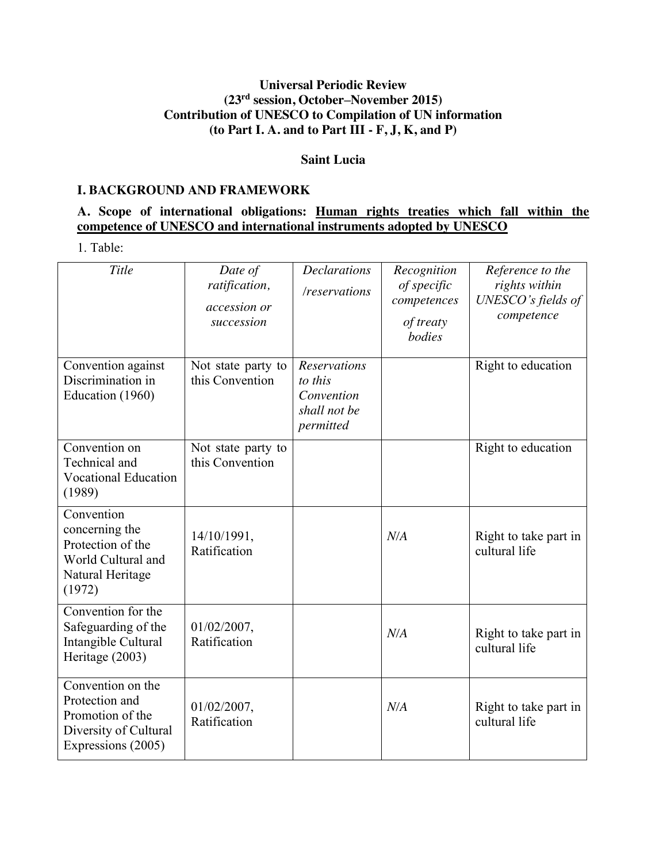## **Universal Periodic Review (23rd session, October–November 2015) Contribution of UNESCO to Compilation of UN information (to Part I. A. and to Part III - F, J, K, and P)**

#### **Saint Lucia**

#### **I. BACKGROUND AND FRAMEWORK**

## **A. Scope of international obligations: Human rights treaties which fall within the competence of UNESCO and international instruments adopted by UNESCO**

1. Table:

| Title                                                                                                  | Date of<br>ratification,<br>accession or<br>succession | <b>Declarations</b><br>/reservations                                      | Recognition<br>of specific<br>competences<br>of treaty<br>bodies | Reference to the<br>rights within<br>UNESCO's fields of<br>competence |
|--------------------------------------------------------------------------------------------------------|--------------------------------------------------------|---------------------------------------------------------------------------|------------------------------------------------------------------|-----------------------------------------------------------------------|
| Convention against<br>Discrimination in<br>Education (1960)                                            | Not state party to<br>this Convention                  | <b>Reservations</b><br>to this<br>Convention<br>shall not be<br>permitted |                                                                  | Right to education                                                    |
| Convention on<br>Technical and<br><b>Vocational Education</b><br>(1989)                                | Not state party to<br>this Convention                  |                                                                           |                                                                  | Right to education                                                    |
| Convention<br>concerning the<br>Protection of the<br>World Cultural and<br>Natural Heritage<br>(1972)  | 14/10/1991,<br>Ratification                            |                                                                           | N/A                                                              | Right to take part in<br>cultural life                                |
| Convention for the<br>Safeguarding of the<br>Intangible Cultural<br>Heritage (2003)                    | $01/02/2007$ ,<br>Ratification                         |                                                                           | N/A                                                              | Right to take part in<br>cultural life                                |
| Convention on the<br>Protection and<br>Promotion of the<br>Diversity of Cultural<br>Expressions (2005) | $01/02/2007$ ,<br>Ratification                         |                                                                           | N/A                                                              | Right to take part in<br>cultural life                                |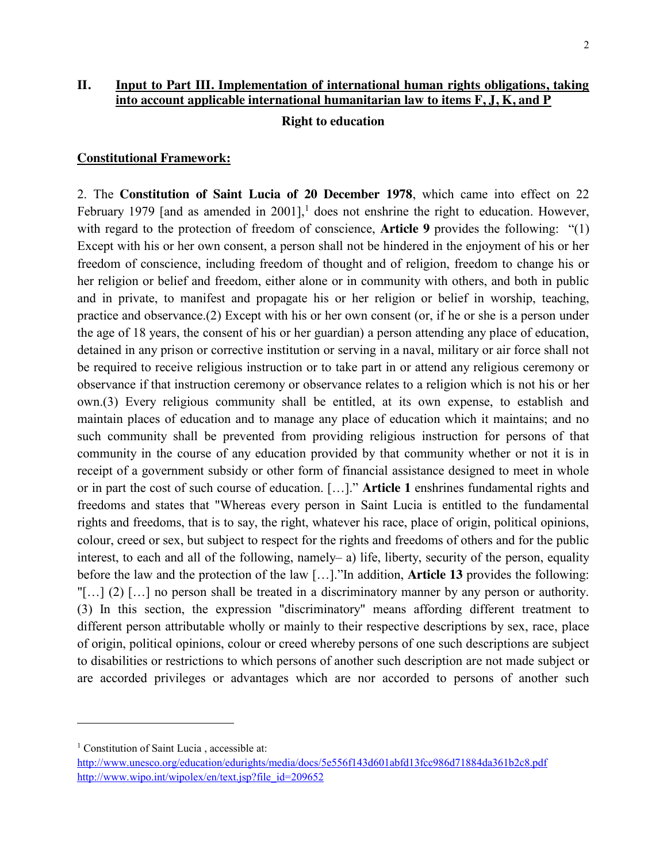# **II. Input to Part III. Implementation of international human rights obligations, taking into account applicable international humanitarian law to items F, J, K, and P**

#### **Right to education**

#### **Constitutional Framework:**

2. The **Constitution of Saint Lucia of 20 December 1978**, which came into effect on 22 February 1979 [and as amended in  $2001$ ],<sup>1</sup> does not enshrine the right to education. However, with regard to the protection of freedom of conscience, **Article 9** provides the following: "(1) Except with his or her own consent, a person shall not be hindered in the enjoyment of his or her freedom of conscience, including freedom of thought and of religion, freedom to change his or her religion or belief and freedom, either alone or in community with others, and both in public and in private, to manifest and propagate his or her religion or belief in worship, teaching, practice and observance.(2) Except with his or her own consent (or, if he or she is a person under the age of 18 years, the consent of his or her guardian) a person attending any place of education, detained in any prison or corrective institution or serving in a naval, military or air force shall not be required to receive religious instruction or to take part in or attend any religious ceremony or observance if that instruction ceremony or observance relates to a religion which is not his or her own.(3) Every religious community shall be entitled, at its own expense, to establish and maintain places of education and to manage any place of education which it maintains; and no such community shall be prevented from providing religious instruction for persons of that community in the course of any education provided by that community whether or not it is in receipt of a government subsidy or other form of financial assistance designed to meet in whole or in part the cost of such course of education. […]." **Article 1** enshrines fundamental rights and freedoms and states that "Whereas every person in Saint Lucia is entitled to the fundamental rights and freedoms, that is to say, the right, whatever his race, place of origin, political opinions, colour, creed or sex, but subject to respect for the rights and freedoms of others and for the public interest, to each and all of the following, namely– a) life, liberty, security of the person, equality before the law and the protection of the law […]."In addition, **Article 13** provides the following: "[…] (2) […] no person shall be treated in a discriminatory manner by any person or authority. (3) In this section, the expression "discriminatory" means affording different treatment to different person attributable wholly or mainly to their respective descriptions by sex, race, place of origin, political opinions, colour or creed whereby persons of one such descriptions are subject to disabilities or restrictions to which persons of another such description are not made subject or are accorded privileges or advantages which are nor accorded to persons of another such

 $\overline{\phantom{a}}$ 

<sup>&</sup>lt;sup>1</sup> Constitution of Saint Lucia, accessible at:

http://www.unesco.org/education/edurights/media/docs/5e556f143d601abfd13fcc986d71884da361b2c8.pdf http://www.wipo.int/wipolex/en/text.jsp?file\_id=209652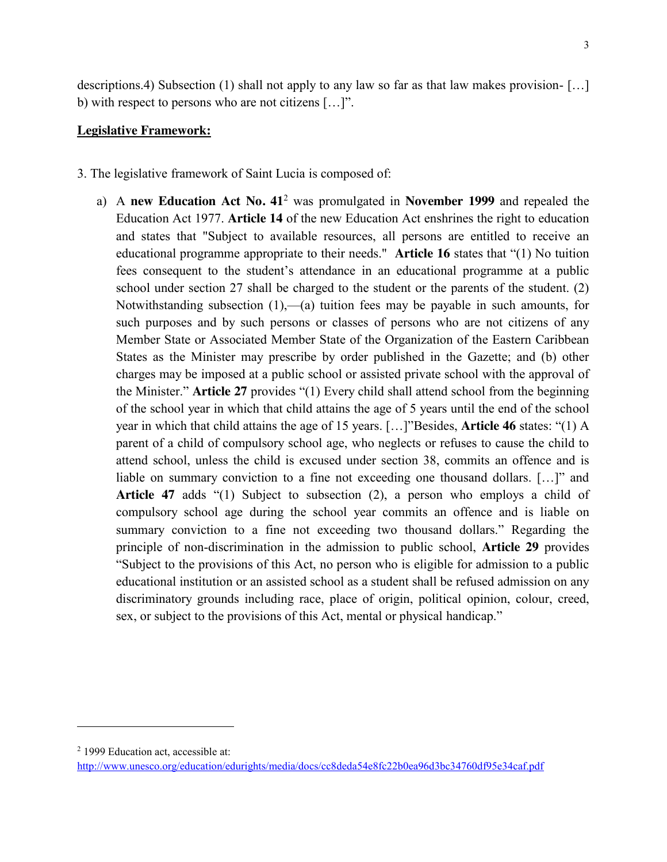descriptions.4) Subsection (1) shall not apply to any law so far as that law makes provision- […] b) with respect to persons who are not citizens […]".

### **Legislative Framework:**

- 3. The legislative framework of Saint Lucia is composed of:
	- a) A **new Education Act No. 41**<sup>2</sup> was promulgated in **November 1999** and repealed the Education Act 1977. **Article 14** of the new Education Act enshrines the right to education and states that "Subject to available resources, all persons are entitled to receive an educational programme appropriate to their needs." **Article 16** states that "(1) No tuition fees consequent to the student's attendance in an educational programme at a public school under section 27 shall be charged to the student or the parents of the student. (2) Notwithstanding subsection (1),—(a) tuition fees may be payable in such amounts, for such purposes and by such persons or classes of persons who are not citizens of any Member State or Associated Member State of the Organization of the Eastern Caribbean States as the Minister may prescribe by order published in the Gazette; and (b) other charges may be imposed at a public school or assisted private school with the approval of the Minister." **Article 27** provides "(1) Every child shall attend school from the beginning of the school year in which that child attains the age of 5 years until the end of the school year in which that child attains the age of 15 years. […]"Besides, **Article 46** states: "(1) A parent of a child of compulsory school age, who neglects or refuses to cause the child to attend school, unless the child is excused under section 38, commits an offence and is liable on summary conviction to a fine not exceeding one thousand dollars. […]" and **Article 47** adds "(1) Subject to subsection (2), a person who employs a child of compulsory school age during the school year commits an offence and is liable on summary conviction to a fine not exceeding two thousand dollars." Regarding the principle of non-discrimination in the admission to public school, **Article 29** provides "Subject to the provisions of this Act, no person who is eligible for admission to a public educational institution or an assisted school as a student shall be refused admission on any discriminatory grounds including race, place of origin, political opinion, colour, creed, sex, or subject to the provisions of this Act, mental or physical handicap."

l

<sup>2</sup> 1999 Education act, accessible at:

http://www.unesco.org/education/edurights/media/docs/cc8deda54e8fc22b0ea96d3bc34760df95e34caf.pdf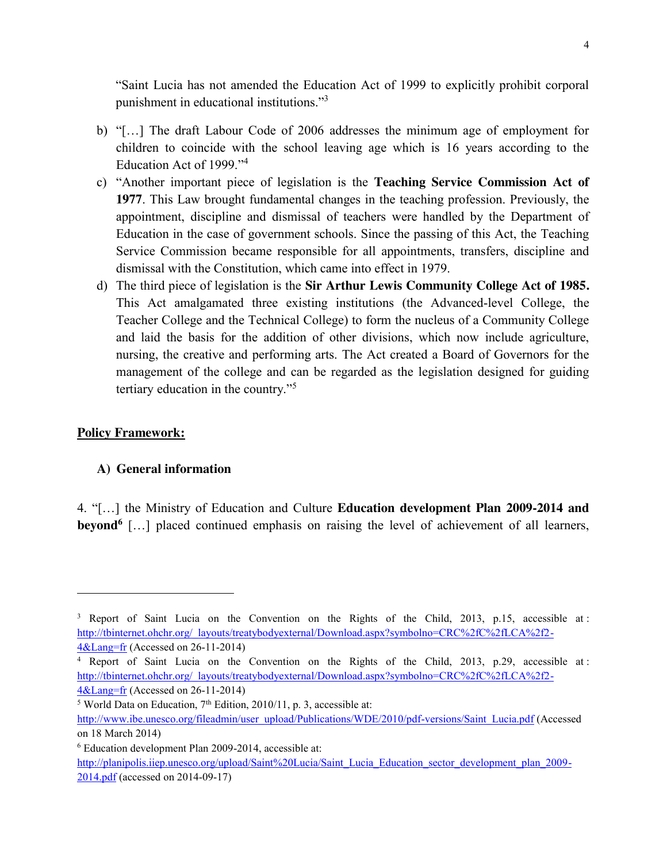"Saint Lucia has not amended the Education Act of 1999 to explicitly prohibit corporal punishment in educational institutions."<sup>3</sup>

- b) "[…] The draft Labour Code of 2006 addresses the minimum age of employment for children to coincide with the school leaving age which is 16 years according to the Education Act of 1999."<sup>4</sup>
- c) "Another important piece of legislation is the **Teaching Service Commission Act of 1977**. This Law brought fundamental changes in the teaching profession. Previously, the appointment, discipline and dismissal of teachers were handled by the Department of Education in the case of government schools. Since the passing of this Act, the Teaching Service Commission became responsible for all appointments, transfers, discipline and dismissal with the Constitution, which came into effect in 1979.
- d) The third piece of legislation is the **Sir Arthur Lewis Community College Act of 1985.** This Act amalgamated three existing institutions (the Advanced-level College, the Teacher College and the Technical College) to form the nucleus of a Community College and laid the basis for the addition of other divisions, which now include agriculture, nursing, the creative and performing arts. The Act created a Board of Governors for the management of the college and can be regarded as the legislation designed for guiding tertiary education in the country."<sup>5</sup>

### **Policy Framework:**

l

### **A) General information**

4. "[…] the Ministry of Education and Culture **Education development Plan 2009-2014 and beyond**<sup>6</sup> [...] placed continued emphasis on raising the level of achievement of all learners,

<sup>&</sup>lt;sup>3</sup> Report of Saint Lucia on the Convention on the Rights of the Child, 2013, p.15, accessible at : http://tbinternet.ohchr.org/\_layouts/treatybodyexternal/Download.aspx?symbolno=CRC%2fC%2fLCA%2f2- 4&Lang=fr (Accessed on 26-11-2014)

<sup>4</sup> Report of Saint Lucia on the Convention on the Rights of the Child, 2013, p.29, accessible at : http://tbinternet.ohchr.org/\_layouts/treatybodyexternal/Download.aspx?symbolno=CRC%2fC%2fLCA%2f2- 4&Lang=fr (Accessed on 26-11-2014)

 $5$  World Data on Education,  $7<sup>th</sup>$  Edition, 2010/11, p. 3, accessible at:

http://www.ibe.unesco.org/fileadmin/user\_upload/Publications/WDE/2010/pdf-versions/Saint\_Lucia.pdf (Accessed on 18 March 2014)

<sup>6</sup> Education development Plan 2009-2014, accessible at:

http://planipolis.iiep.unesco.org/upload/Saint%20Lucia/Saint\_Lucia\_Education\_sector\_development\_plan\_2009-2014.pdf (accessed on 2014-09-17)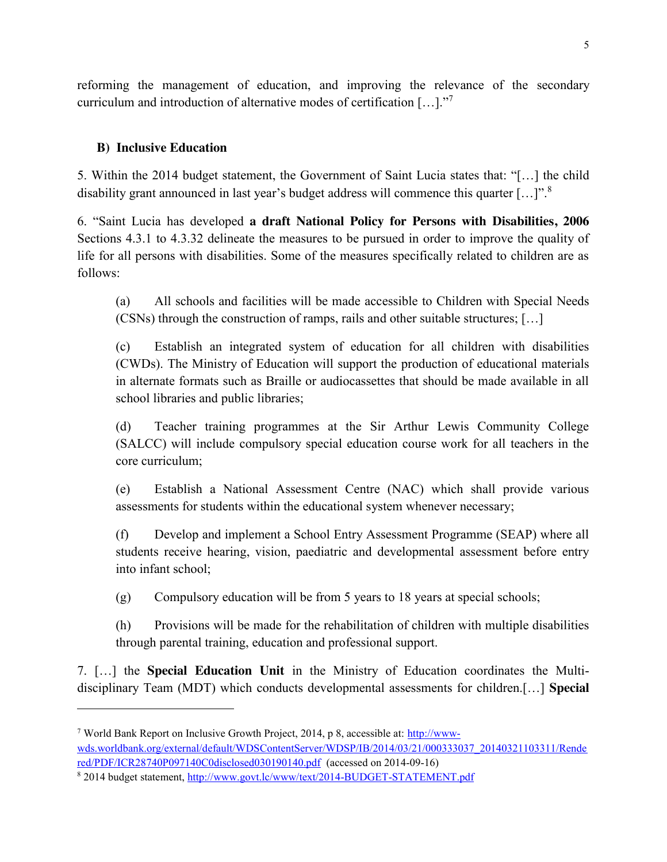reforming the management of education, and improving the relevance of the secondary curriculum and introduction of alternative modes of certification […]."<sup>7</sup>

# **B) Inclusive Education**

 $\overline{a}$ 

5. Within the 2014 budget statement, the Government of Saint Lucia states that: "[…] the child disability grant announced in last year's budget address will commence this quarter [...]".<sup>8</sup>

6. "Saint Lucia has developed **a draft National Policy for Persons with Disabilities, 2006** Sections 4.3.1 to 4.3.32 delineate the measures to be pursued in order to improve the quality of life for all persons with disabilities. Some of the measures specifically related to children are as follows:

(a) All schools and facilities will be made accessible to Children with Special Needs (CSNs) through the construction of ramps, rails and other suitable structures; […]

(c) Establish an integrated system of education for all children with disabilities (CWDs). The Ministry of Education will support the production of educational materials in alternate formats such as Braille or audiocassettes that should be made available in all school libraries and public libraries;

(d) Teacher training programmes at the Sir Arthur Lewis Community College (SALCC) will include compulsory special education course work for all teachers in the core curriculum;

(e) Establish a National Assessment Centre (NAC) which shall provide various assessments for students within the educational system whenever necessary;

(f) Develop and implement a School Entry Assessment Programme (SEAP) where all students receive hearing, vision, paediatric and developmental assessment before entry into infant school;

(g) Compulsory education will be from 5 years to 18 years at special schools;

(h) Provisions will be made for the rehabilitation of children with multiple disabilities through parental training, education and professional support.

7. […] the **Special Education Unit** in the Ministry of Education coordinates the Multidisciplinary Team (MDT) which conducts developmental assessments for children.[…] **Special** 

<sup>7</sup> World Bank Report on Inclusive Growth Project, 2014, p 8, accessible at: http://wwwwds.worldbank.org/external/default/WDSContentServer/WDSP/IB/2014/03/21/000333037\_20140321103311/Rende red/PDF/ICR28740P097140C0disclosed030190140.pdf (accessed on 2014-09-16)

<sup>8</sup> 2014 budget statement, http://www.govt.lc/www/text/2014-BUDGET-STATEMENT.pdf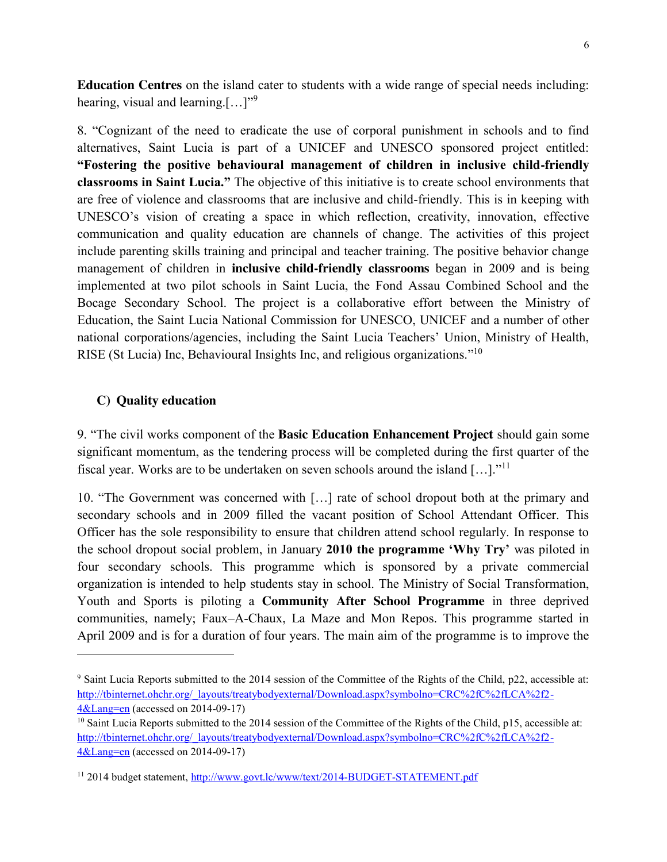**Education Centres** on the island cater to students with a wide range of special needs including: hearing, visual and learning.[...]"<sup>9</sup>

8. "Cognizant of the need to eradicate the use of corporal punishment in schools and to find alternatives, Saint Lucia is part of a UNICEF and UNESCO sponsored project entitled: **"Fostering the positive behavioural management of children in inclusive child-friendly classrooms in Saint Lucia."** The objective of this initiative is to create school environments that are free of violence and classrooms that are inclusive and child-friendly. This is in keeping with UNESCO's vision of creating a space in which reflection, creativity, innovation, effective communication and quality education are channels of change. The activities of this project include parenting skills training and principal and teacher training. The positive behavior change management of children in **inclusive child-friendly classrooms** began in 2009 and is being implemented at two pilot schools in Saint Lucia, the Fond Assau Combined School and the Bocage Secondary School. The project is a collaborative effort between the Ministry of Education, the Saint Lucia National Commission for UNESCO, UNICEF and a number of other national corporations/agencies, including the Saint Lucia Teachers' Union, Ministry of Health, RISE (St Lucia) Inc, Behavioural Insights Inc, and religious organizations."<sup>10</sup>

### **C) Quality education**

l

9. "The civil works component of the **Basic Education Enhancement Project** should gain some significant momentum, as the tendering process will be completed during the first quarter of the fiscal year. Works are to be undertaken on seven schools around the island  $[...]$ ."<sup>11</sup>

10. "The Government was concerned with […] rate of school dropout both at the primary and secondary schools and in 2009 filled the vacant position of School Attendant Officer. This Officer has the sole responsibility to ensure that children attend school regularly. In response to the school dropout social problem, in January **2010 the programme 'Why Try'** was piloted in four secondary schools. This programme which is sponsored by a private commercial organization is intended to help students stay in school. The Ministry of Social Transformation, Youth and Sports is piloting a **Community After School Programme** in three deprived communities, namely; Faux–A-Chaux, La Maze and Mon Repos. This programme started in April 2009 and is for a duration of four years. The main aim of the programme is to improve the

<sup>9</sup> Saint Lucia Reports submitted to the 2014 session of the Committee of the Rights of the Child, p22, accessible at: http://tbinternet.ohchr.org/\_layouts/treatybodyexternal/Download.aspx?symbolno=CRC%2fC%2fLCA%2f2- 4&Lang=en (accessed on 2014-09-17)

<sup>&</sup>lt;sup>10</sup> Saint Lucia Reports submitted to the 2014 session of the Committee of the Rights of the Child, p15, accessible at: http://tbinternet.ohchr.org/\_layouts/treatybodyexternal/Download.aspx?symbolno=CRC%2fC%2fLCA%2f2- 4&Lang=en (accessed on 2014-09-17)

<sup>11</sup> 2014 budget statement, http://www.govt.lc/www/text/2014-BUDGET-STATEMENT.pdf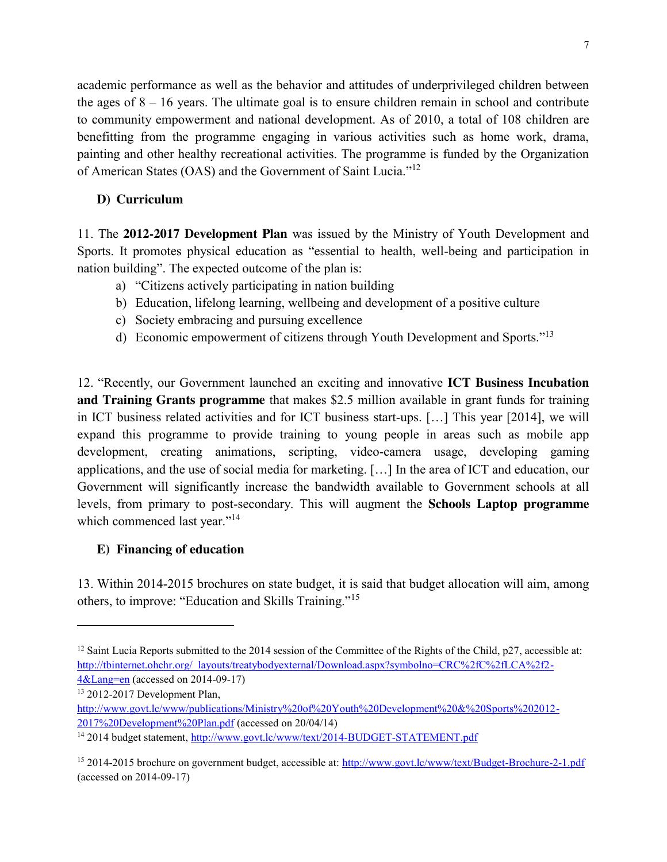academic performance as well as the behavior and attitudes of underprivileged children between the ages of  $8 - 16$  years. The ultimate goal is to ensure children remain in school and contribute to community empowerment and national development. As of 2010, a total of 108 children are benefitting from the programme engaging in various activities such as home work, drama, painting and other healthy recreational activities. The programme is funded by the Organization of American States (OAS) and the Government of Saint Lucia."<sup>12</sup>

# **D) Curriculum**

11. The **2012-2017 Development Plan** was issued by the Ministry of Youth Development and Sports. It promotes physical education as "essential to health, well-being and participation in nation building". The expected outcome of the plan is:

- a) "Citizens actively participating in nation building
- b) Education, lifelong learning, wellbeing and development of a positive culture
- c) Society embracing and pursuing excellence
- d) Economic empowerment of citizens through Youth Development and Sports."<sup>13</sup>

12. "Recently, our Government launched an exciting and innovative **ICT Business Incubation and Training Grants programme** that makes \$2.5 million available in grant funds for training in ICT business related activities and for ICT business start-ups. […] This year [2014], we will expand this programme to provide training to young people in areas such as mobile app development, creating animations, scripting, video-camera usage, developing gaming applications, and the use of social media for marketing. […] In the area of ICT and education, our Government will significantly increase the bandwidth available to Government schools at all levels, from primary to post-secondary. This will augment the **Schools Laptop programme** which commenced last year."<sup>14</sup>

# **E) Financing of education**

13. Within 2014-2015 brochures on state budget, it is said that budget allocation will aim, among others, to improve: "Education and Skills Training."<sup>15</sup>

l

<sup>&</sup>lt;sup>12</sup> Saint Lucia Reports submitted to the 2014 session of the Committee of the Rights of the Child, p27, accessible at: http://tbinternet.ohchr.org/\_layouts/treatybodyexternal/Download.aspx?symbolno=CRC%2fC%2fLCA%2f2- 4&Lang=en (accessed on 2014-09-17)

<sup>13</sup> 2012-2017 Development Plan,

http://www.govt.lc/www/publications/Ministry%20of%20Youth%20Development%20&%20Sports%202012- 2017%20Development%20Plan.pdf (accessed on 20/04/14)

<sup>14</sup> 2014 budget statement, http://www.govt.lc/www/text/2014-BUDGET-STATEMENT.pdf

<sup>15</sup> 2014-2015 brochure on government budget, accessible at: http://www.govt.lc/www/text/Budget-Brochure-2-1.pdf (accessed on 2014-09-17)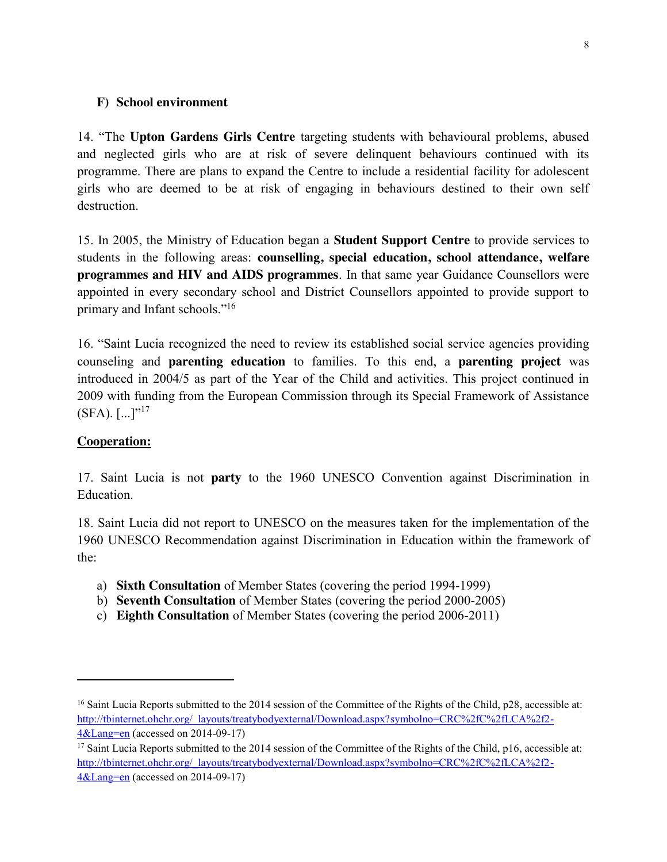### **F) School environment**

14. "The **Upton Gardens Girls Centre** targeting students with behavioural problems, abused and neglected girls who are at risk of severe delinquent behaviours continued with its programme. There are plans to expand the Centre to include a residential facility for adolescent girls who are deemed to be at risk of engaging in behaviours destined to their own self destruction.

15. In 2005, the Ministry of Education began a **Student Support Centre** to provide services to students in the following areas: **counselling, special education, school attendance, welfare programmes and HIV and AIDS programmes**. In that same year Guidance Counsellors were appointed in every secondary school and District Counsellors appointed to provide support to primary and Infant schools."<sup>16</sup>

16. "Saint Lucia recognized the need to review its established social service agencies providing counseling and **parenting education** to families. To this end, a **parenting project** was introduced in 2004/5 as part of the Year of the Child and activities. This project continued in 2009 with funding from the European Commission through its Special Framework of Assistance  $(SFA)$ .  $[\dots]^{r17}$ 

## **Cooperation:**

 $\overline{\phantom{a}}$ 

17. Saint Lucia is not **party** to the 1960 UNESCO Convention against Discrimination in Education.

18. Saint Lucia did not report to UNESCO on the measures taken for the implementation of the 1960 UNESCO Recommendation against Discrimination in Education within the framework of the:

- a) **Sixth Consultation** of Member States (covering the period 1994-1999)
- b) **Seventh Consultation** of Member States (covering the period 2000-2005)
- c) **Eighth Consultation** of Member States (covering the period 2006-2011)

<sup>&</sup>lt;sup>16</sup> Saint Lucia Reports submitted to the 2014 session of the Committee of the Rights of the Child, p28, accessible at: http://tbinternet.ohchr.org/\_layouts/treatybodyexternal/Download.aspx?symbolno=CRC%2fC%2fLCA%2f2- 4&Lang=en (accessed on 2014-09-17)

<sup>&</sup>lt;sup>17</sup> Saint Lucia Reports submitted to the 2014 session of the Committee of the Rights of the Child, p16, accessible at: http://tbinternet.ohchr.org/\_layouts/treatybodyexternal/Download.aspx?symbolno=CRC%2fC%2fLCA%2f2- 4&Lang=en (accessed on 2014-09-17)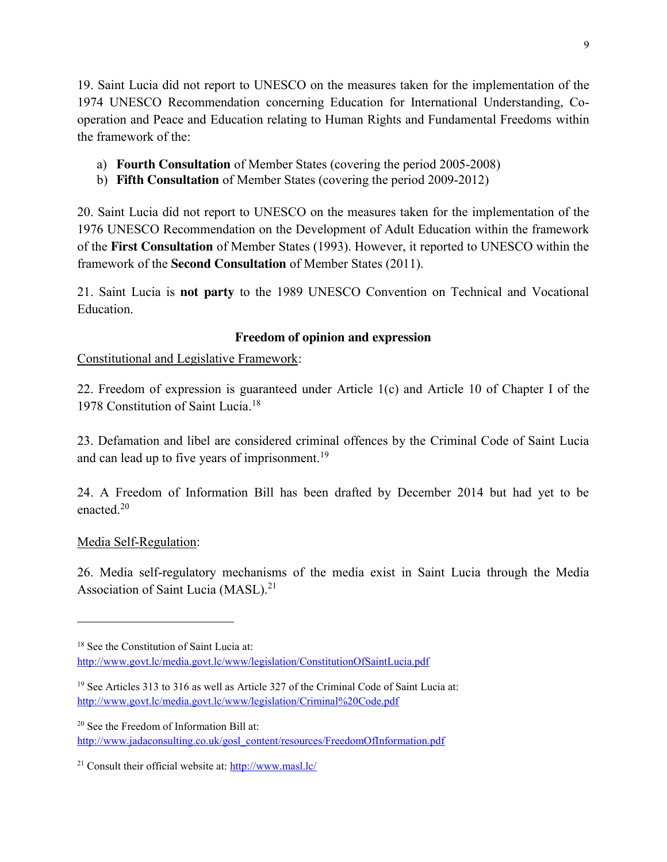19. Saint Lucia did not report to UNESCO on the measures taken for the implementation of the 1974 UNESCO Recommendation concerning Education for International Understanding, Cooperation and Peace and Education relating to Human Rights and Fundamental Freedoms within the framework of the:

- a) **Fourth Consultation** of Member States (covering the period 2005-2008)
- b) **Fifth Consultation** of Member States (covering the period 2009-2012)

20. Saint Lucia did not report to UNESCO on the measures taken for the implementation of the 1976 UNESCO Recommendation on the Development of Adult Education within the framework of the **First Consultation** of Member States (1993). However, it reported to UNESCO within the framework of the **Second Consultation** of Member States (2011).

21. Saint Lucia is **not party** to the 1989 UNESCO Convention on Technical and Vocational Education.

# **Freedom of opinion and expression**

Constitutional and Legislative Framework:

22. Freedom of expression is guaranteed under Article 1(c) and Article 10 of Chapter I of the 1978 Constitution of Saint Lucia. 18

23. Defamation and libel are considered criminal offences by the Criminal Code of Saint Lucia and can lead up to five years of imprisonment.<sup>19</sup>

24. A Freedom of Information Bill has been drafted by December 2014 but had yet to be enacted  $20$ 

# Media Self-Regulation:

l

26. Media self-regulatory mechanisms of the media exist in Saint Lucia through the Media Association of Saint Lucia (MASL).<sup>21</sup>

http://www.jadaconsulting.co.uk/gosl\_content/resources/FreedomOfInformation.pdf

<sup>&</sup>lt;sup>18</sup> See the Constitution of Saint Lucia at: http://www.govt.lc/media.govt.lc/www/legislation/ConstitutionOfSaintLucia.pdf

<sup>&</sup>lt;sup>19</sup> See Articles 313 to 316 as well as Article 327 of the Criminal Code of Saint Lucia at: http://www.govt.lc/media.govt.lc/www/legislation/Criminal%20Code.pdf

<sup>20</sup> See the Freedom of Information Bill at:

<sup>21</sup> Consult their official website at: http://www.masl.lc/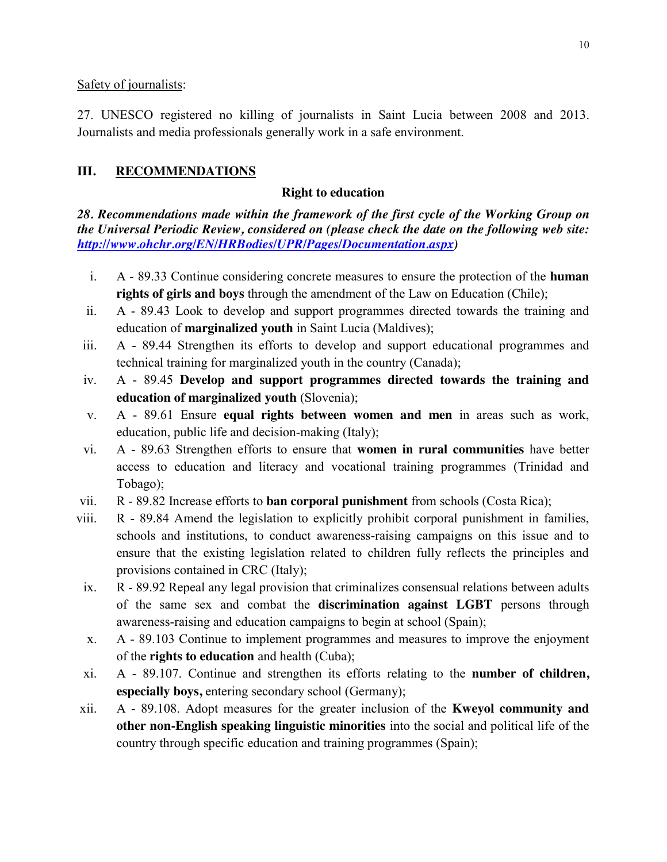Safety of journalists:

27. UNESCO registered no killing of journalists in Saint Lucia between 2008 and 2013. Journalists and media professionals generally work in a safe environment.

# **III. RECOMMENDATIONS**

# **Right to education**

*28. Recommendations made within the framework of the first cycle of the Working Group on the Universal Periodic Review, considered on (please check the date on the following web site: http://www.ohchr.org/EN/HRBodies/UPR/Pages/Documentation.aspx)* 

- i. A 89.33 Continue considering concrete measures to ensure the protection of the **human rights of girls and boys** through the amendment of the Law on Education (Chile);
- ii. A 89.43 Look to develop and support programmes directed towards the training and education of **marginalized youth** in Saint Lucia (Maldives);
- iii. A 89.44 Strengthen its efforts to develop and support educational programmes and technical training for marginalized youth in the country (Canada);
- iv. A 89.45 **Develop and support programmes directed towards the training and education of marginalized youth** (Slovenia);
- v. A 89.61 Ensure **equal rights between women and men** in areas such as work, education, public life and decision-making (Italy);
- vi. A 89.63 Strengthen efforts to ensure that **women in rural communities** have better access to education and literacy and vocational training programmes (Trinidad and Tobago);
- vii. R 89.82 Increase efforts to **ban corporal punishment** from schools (Costa Rica);
- viii. R 89.84 Amend the legislation to explicitly prohibit corporal punishment in families, schools and institutions, to conduct awareness-raising campaigns on this issue and to ensure that the existing legislation related to children fully reflects the principles and provisions contained in CRC (Italy);
- ix. R 89.92 Repeal any legal provision that criminalizes consensual relations between adults of the same sex and combat the **discrimination against LGBT** persons through awareness-raising and education campaigns to begin at school (Spain);
- x. A 89.103 Continue to implement programmes and measures to improve the enjoyment of the **rights to education** and health (Cuba);
- xi. A 89.107. Continue and strengthen its efforts relating to the **number of children, especially boys,** entering secondary school (Germany);
- xii. A 89.108. Adopt measures for the greater inclusion of the **Kweyol community and other non-English speaking linguistic minorities** into the social and political life of the country through specific education and training programmes (Spain);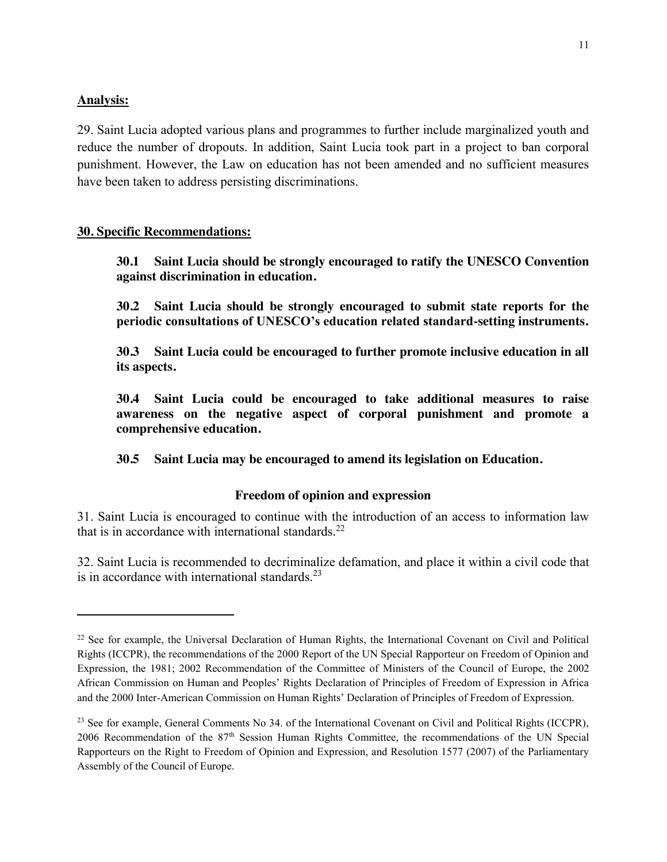#### **Analysis:**

 $\overline{\phantom{a}}$ 

29. Saint Lucia adopted various plans and programmes to further include marginalized youth and reduce the number of dropouts. In addition, Saint Lucia took part in a project to ban corporal punishment. However, the Law on education has not been amended and no sufficient measures have been taken to address persisting discriminations.

### **30. Specific Recommendations:**

**30.1 Saint Lucia should be strongly encouraged to ratify the UNESCO Convention against discrimination in education.**

**30.2 Saint Lucia should be strongly encouraged to submit state reports for the periodic consultations of UNESCO's education related standard-setting instruments.**

**30.3 Saint Lucia could be encouraged to further promote inclusive education in all its aspects.**

**30.4 Saint Lucia could be encouraged to take additional measures to raise awareness on the negative aspect of corporal punishment and promote a comprehensive education.**

**30.5 Saint Lucia may be encouraged to amend its legislation on Education.** 

### **Freedom of opinion and expression**

31. Saint Lucia is encouraged to continue with the introduction of an access to information law that is in accordance with international standards. $22$ 

32. Saint Lucia is recommended to decriminalize defamation, and place it within a civil code that is in accordance with international standards.<sup>23</sup>

<sup>&</sup>lt;sup>22</sup> See for example, the Universal Declaration of Human Rights, the International Covenant on Civil and Political Rights (ICCPR), the recommendations of the 2000 Report of the UN Special Rapporteur on Freedom of Opinion and Expression, the 1981; 2002 Recommendation of the Committee of Ministers of the Council of Europe, the 2002 African Commission on Human and Peoples' Rights Declaration of Principles of Freedom of Expression in Africa and the 2000 Inter-American Commission on Human Rights' Declaration of Principles of Freedom of Expression.

<sup>&</sup>lt;sup>23</sup> See for example, General Comments No 34, of the International Covenant on Civil and Political Rights (ICCPR), 2006 Recommendation of the 87th Session Human Rights Committee, the recommendations of the UN Special Rapporteurs on the Right to Freedom of Opinion and Expression, and Resolution 1577 (2007) of the Parliamentary Assembly of the Council of Europe.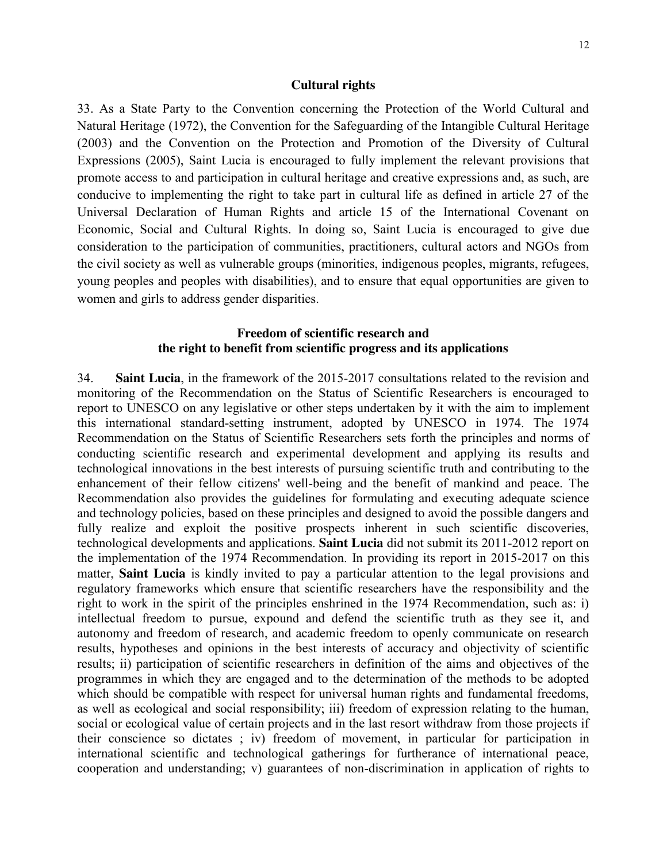#### **Cultural rights**

33. As a State Party to the Convention concerning the Protection of the World Cultural and Natural Heritage (1972), the Convention for the Safeguarding of the Intangible Cultural Heritage (2003) and the Convention on the Protection and Promotion of the Diversity of Cultural Expressions (2005), Saint Lucia is encouraged to fully implement the relevant provisions that promote access to and participation in cultural heritage and creative expressions and, as such, are conducive to implementing the right to take part in cultural life as defined in article 27 of the Universal Declaration of Human Rights and article 15 of the International Covenant on Economic, Social and Cultural Rights. In doing so, Saint Lucia is encouraged to give due consideration to the participation of communities, practitioners, cultural actors and NGOs from the civil society as well as vulnerable groups (minorities, indigenous peoples, migrants, refugees, young peoples and peoples with disabilities), and to ensure that equal opportunities are given to women and girls to address gender disparities.

#### **Freedom of scientific research and the right to benefit from scientific progress and its applications**

34. **Saint Lucia**, in the framework of the 2015-2017 consultations related to the revision and monitoring of the Recommendation on the Status of Scientific Researchers is encouraged to report to UNESCO on any legislative or other steps undertaken by it with the aim to implement this international standard-setting instrument, adopted by UNESCO in 1974. The 1974 Recommendation on the Status of Scientific Researchers sets forth the principles and norms of conducting scientific research and experimental development and applying its results and technological innovations in the best interests of pursuing scientific truth and contributing to the enhancement of their fellow citizens' well-being and the benefit of mankind and peace. The Recommendation also provides the guidelines for formulating and executing adequate science and technology policies, based on these principles and designed to avoid the possible dangers and fully realize and exploit the positive prospects inherent in such scientific discoveries, technological developments and applications. **Saint Lucia** did not submit its 2011-2012 report on the implementation of the 1974 Recommendation. In providing its report in 2015-2017 on this matter, **Saint Lucia** is kindly invited to pay a particular attention to the legal provisions and regulatory frameworks which ensure that scientific researchers have the responsibility and the right to work in the spirit of the principles enshrined in the 1974 Recommendation, such as: i) intellectual freedom to pursue, expound and defend the scientific truth as they see it, and autonomy and freedom of research, and academic freedom to openly communicate on research results, hypotheses and opinions in the best interests of accuracy and objectivity of scientific results; ii) participation of scientific researchers in definition of the aims and objectives of the programmes in which they are engaged and to the determination of the methods to be adopted which should be compatible with respect for universal human rights and fundamental freedoms, as well as ecological and social responsibility; iii) freedom of expression relating to the human, social or ecological value of certain projects and in the last resort withdraw from those projects if their conscience so dictates ; iv) freedom of movement, in particular for participation in international scientific and technological gatherings for furtherance of international peace, cooperation and understanding; v) guarantees of non-discrimination in application of rights to